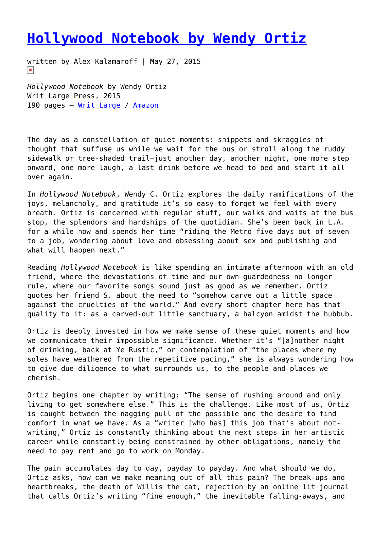## **[Hollywood Notebook by Wendy Ortiz](https://entropymag.org/hollywood-notebook-by-wendy-ortiz/)**

written by Alex Kalamaroff | May 27, 2015  $\pmb{\times}$ 

*Hollywood Notebook* by Wendy Ortiz Writ Large Press, 2015 190 pages – [Writ Large](https://squareup.com/market/writ-large-press/hollywood-notebook-pre-order) / [Amazon](http://www.amazon.com/Hollywood-Notebook-Wendy-C-Ortiz/dp/0981483674/ref=sr_1_1?ie=UTF8&qid=1432230525&sr=8-1&keywords=hollywood+notebook)

The day as a constellation of quiet moments: snippets and skraggles of thought that suffuse us while we wait for the bus or stroll along the ruddy sidewalk or tree-shaded trail—just another day, another night, one more step onward, one more laugh, a last drink before we head to bed and start it all over again.

In *Hollywood Notebook*, Wendy C. Ortiz explores the daily ramifications of the joys, melancholy, and gratitude it's so easy to forget we feel with every breath. Ortiz is concerned with regular stuff, our walks and waits at the bus stop, the splendors and hardships of the quotidian. She's been back in L.A. for a while now and spends her time "riding the Metro five days out of seven to a job, wondering about love and obsessing about sex and publishing and what will happen next."

Reading *Hollywood Notebook* is like spending an intimate afternoon with an old friend, where the devastations of time and our own guardedness no longer rule, where our favorite songs sound just as good as we remember. Ortiz quotes her friend S. about the need to "somehow carve out a little space against the cruelties of the world." And every short chapter here has that quality to it: as a carved-out little sanctuary, a halcyon amidst the hubbub.

Ortiz is deeply invested in how we make sense of these quiet moments and how we communicate their impossible significance. Whether it's "[a]nother night of drinking, back at Ye Rustic," or contemplation of "the places where my soles have weathered from the repetitive pacing," she is always wondering how to give due diligence to what surrounds us, to the people and places we cherish.

Ortiz begins one chapter by writing: "The sense of rushing around and only living to get somewhere else." This is the challenge. Like most of us, Ortiz is caught between the nagging pull of the possible and the desire to find comfort in what we have. As a "writer [who has] this job that's about notwriting," Ortiz is constantly thinking about the next steps in her artistic career while constantly being constrained by other obligations, namely the need to pay rent and go to work on Monday.

The pain accumulates day to day, payday to payday. And what should we do, Ortiz asks, how can we make meaning out of all this pain? The break-ups and heartbreaks, the death of Willis the cat, rejection by an online lit journal that calls Ortiz's writing "fine enough," the inevitable falling-aways, and